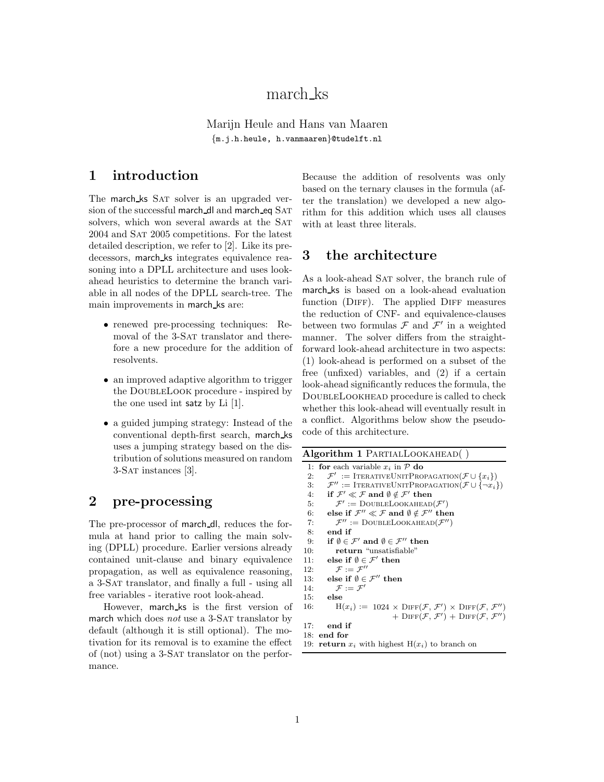# march ks

Marijn Heule and Hans van Maaren {m.j.h.heule, h.vanmaaren}@tudelft.nl

### 1 introduction

The march ks SAT solver is an upgraded version of the successful march dl and march eq SAT solvers, which won several awards at the SAT 2004 and Sat 2005 competitions. For the latest detailed description, we refer to [2]. Like its predecessors, march ks integrates equivalence reasoning into a DPLL architecture and uses lookahead heuristics to determine the branch variable in all nodes of the DPLL search-tree. The main improvements in march ks are:

- renewed pre-processing techniques: Removal of the 3-SAT translator and therefore a new procedure for the addition of resolvents.
- an improved adaptive algorithm to trigger the DoubleLook procedure - inspired by the one used int satz by Li [1].
- a guided jumping strategy: Instead of the conventional depth-first search, march ks uses a jumping strategy based on the distribution of solutions measured on random 3-Sat instances [3].

## 2 pre-processing

The pre-processor of march dl, reduces the formula at hand prior to calling the main solving (DPLL) procedure. Earlier versions already contained unit-clause and binary equivalence propagation, as well as equivalence reasoning, a 3-Sat translator, and finally a full - using all free variables - iterative root look-ahead.

However, march ks is the first version of march which does  $not$  use a 3-SAT translator by default (although it is still optional). The motivation for its removal is to examine the effect of (not) using a 3-Sat translator on the performance.

Because the addition of resolvents was only based on the ternary clauses in the formula (after the translation) we developed a new algorithm for this addition which uses all clauses with at least three literals.

#### 3 the architecture

As a look-ahead SAT solver, the branch rule of march ks is based on a look-ahead evaluation function (DIFF). The applied DIFF measures the reduction of CNF- and equivalence-clauses between two formulas  $\mathcal F$  and  $\mathcal F'$  in a weighted manner. The solver differs from the straightforward look-ahead architecture in two aspects: (1) look-ahead is performed on a subset of the free (unfixed) variables, and (2) if a certain look-ahead significantly reduces the formula, the DoubleLookhead procedure is called to check whether this look-ahead will eventually result in a conflict. Algorithms below show the pseudocode of this architecture.

| Algorithm 1 PARTIALLOOKAHEAD() |                                                                                                               |  |  |  |  |
|--------------------------------|---------------------------------------------------------------------------------------------------------------|--|--|--|--|
|                                | 1. for each variable $x_i$ in $\mathcal P$ do                                                                 |  |  |  |  |
| 2:                             | $\mathcal{F}'$ := ITERATIVEUNITPROPAGATION( $\mathcal{F} \cup \{x_i\}$ )                                      |  |  |  |  |
| 3:                             | $\mathcal{F}'' := \text{ITERATIVEUNITPROPAGATION}(\mathcal{F} \cup {\lbrace \neg x_i \rbrace})$               |  |  |  |  |
|                                | 4: if $\mathcal{F}' \ll \mathcal{F}$ and $\emptyset \notin \mathcal{F}'$ then                                 |  |  |  |  |
| 5:                             | $\mathcal{F}' :=$ DOUBLELOOKAHEAD $(\mathcal{F}')$                                                            |  |  |  |  |
| 6:                             | else if $\mathcal{F}'' \ll \mathcal{F}$ and $\emptyset \notin \mathcal{F}''$ then                             |  |  |  |  |
| 7:                             | $\mathcal{F}'' :=$ DOUBLELOOKAHEAD $(\mathcal{F}'')$                                                          |  |  |  |  |
| 8:                             | end if                                                                                                        |  |  |  |  |
| 9:                             | if $\emptyset \in \mathcal{F}'$ and $\emptyset \in \mathcal{F}''$ then                                        |  |  |  |  |
| 10:                            | return "unsatisfiable"                                                                                        |  |  |  |  |
| 11:                            | else if $\emptyset \in \mathcal{F}'$ then                                                                     |  |  |  |  |
| 12:                            | $\mathcal{F} := \mathcal{F}''$                                                                                |  |  |  |  |
| 13:                            | else if $\emptyset \in \mathcal{F}''$ then                                                                    |  |  |  |  |
| 14:                            | $\mathcal{F} := \mathcal{F}'$                                                                                 |  |  |  |  |
| 15:                            | else                                                                                                          |  |  |  |  |
| 16:                            | $H(x_i) := 1024 \times \text{DIFF}(\mathcal{F}, \mathcal{F}') \times \text{DIFF}(\mathcal{F}, \mathcal{F}'')$ |  |  |  |  |
|                                | + $\text{DIFF}(\mathcal{F}, \mathcal{F}')$ + $\text{DIFF}(\mathcal{F}, \mathcal{F}'')$                        |  |  |  |  |
| 17:                            | end if                                                                                                        |  |  |  |  |
|                                | $18:$ end for                                                                                                 |  |  |  |  |
|                                | 19: <b>return</b> $x_i$ with highest $H(x_i)$ to branch on                                                    |  |  |  |  |